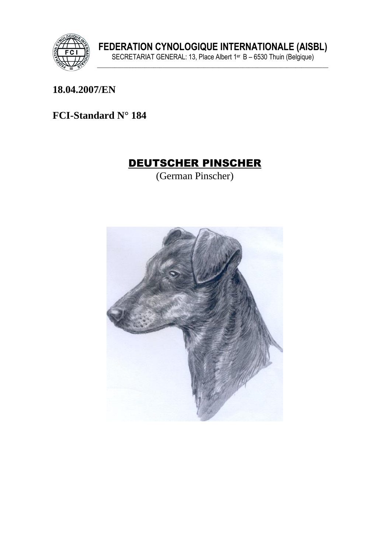

18.04.2007/EN

FCI-Standard N° 184

## **DEUTSCHER PINSCHER**

(German Pinscher)

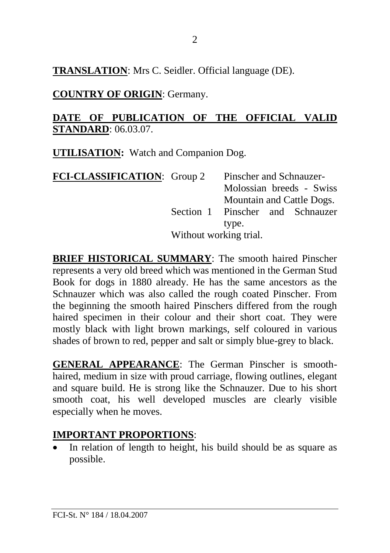**TRANSLATION**: Mrs C. Seidler. Official language (DE).

**COUNTRY OF ORIGIN**: Germany.

#### **DATE OF PUBLICATION OF THE OFFICIAL VALID STANDARD**: 06.03.07.

**UTILISATION:** Watch and Companion Dog.

| <b>FCI-CLASSIFICATION:</b> Group 2 |                        | Pinscher and Schnauzer-   |  |                                  |
|------------------------------------|------------------------|---------------------------|--|----------------------------------|
|                                    |                        |                           |  | Molossian breeds - Swiss         |
|                                    |                        | Mountain and Cattle Dogs. |  |                                  |
|                                    |                        |                           |  | Section 1 Pinscher and Schnauzer |
|                                    |                        | type.                     |  |                                  |
|                                    | Without working trial. |                           |  |                                  |

**BRIEF HISTORICAL SUMMARY**: The smooth haired Pinscher represents a very old breed which was mentioned in the German Stud Book for dogs in 1880 already. He has the same ancestors as the Schnauzer which was also called the rough coated Pinscher. From the beginning the smooth haired Pinschers differed from the rough haired specimen in their colour and their short coat. They were mostly black with light brown markings, self coloured in various shades of brown to red, pepper and salt or simply blue-grey to black.

**GENERAL APPEARANCE**: The German Pinscher is smoothhaired, medium in size with proud carriage, flowing outlines, elegant and square build. He is strong like the Schnauzer. Due to his short smooth coat, his well developed muscles are clearly visible especially when he moves.

### **IMPORTANT PROPORTIONS**:

In relation of length to height, his build should be as square as possible.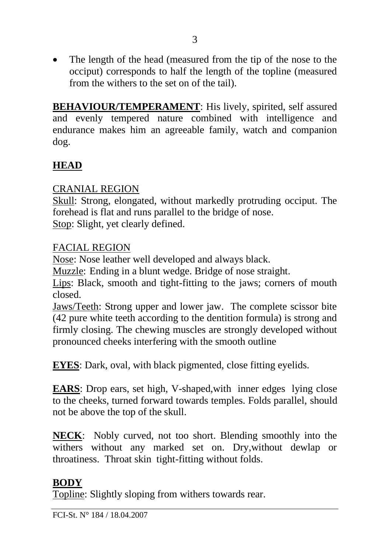• The length of the head (measured from the tip of the nose to the occiput) corresponds to half the length of the topline (measured from the withers to the set on of the tail).

**BEHAVIOUR/TEMPERAMENT**: His lively, spirited, self assured and evenly tempered nature combined with intelligence and endurance makes him an agreeable family, watch and companion dog.

# **HEAD**

### CRANIAL REGION

Skull: Strong, elongated, without markedly protruding occiput. The forehead is flat and runs parallel to the bridge of nose.

Stop: Slight, yet clearly defined.

### FACIAL REGION

Nose: Nose leather well developed and always black.

Muzzle: Ending in a blunt wedge. Bridge of nose straight.

Lips: Black, smooth and tight-fitting to the jaws; corners of mouth closed.

Jaws/Teeth: Strong upper and lower jaw. The complete scissor bite (42 pure white teeth according to the dentition formula) is strong and firmly closing. The chewing muscles are strongly developed without pronounced cheeks interfering with the smooth outline

**EYES**: Dark, oval, with black pigmented, close fitting eyelids.

**EARS**: Drop ears, set high, V-shaped,with inner edges lying close to the cheeks, turned forward towards temples. Folds parallel, should not be above the top of the skull.

**NECK**: Nobly curved, not too short. Blending smoothly into the withers without any marked set on. Dry,without dewlap or throatiness. Throat skin tight-fitting without folds.

## **BODY**

Topline: Slightly sloping from withers towards rear.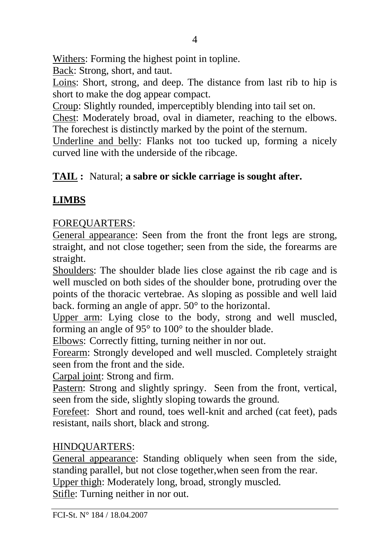Withers: Forming the highest point in topline.

Back: Strong, short, and taut.

Loins: Short, strong, and deep. The distance from last rib to hip is short to make the dog appear compact.

Croup: Slightly rounded, imperceptibly blending into tail set on.

Chest: Moderately broad, oval in diameter, reaching to the elbows. The forechest is distinctly marked by the point of the sternum.

Underline and belly: Flanks not too tucked up, forming a nicely curved line with the underside of the ribcage.

### **TAIL :** Natural; **a sabre or sickle carriage is sought after.**

## **LIMBS**

#### FOREQUARTERS:

General appearance: Seen from the front the front legs are strong, straight, and not close together; seen from the side, the forearms are straight.

Shoulders: The shoulder blade lies close against the rib cage and is well muscled on both sides of the shoulder bone, protruding over the points of the thoracic vertebrae. As sloping as possible and well laid back. forming an angle of appr. 50° to the horizontal.

Upper arm: Lying close to the body, strong and well muscled, forming an angle of 95° to 100° to the shoulder blade.

Elbows: Correctly fitting, turning neither in nor out.

Forearm: Strongly developed and well muscled. Completely straight seen from the front and the side.

Carpal joint: Strong and firm.

Pastern: Strong and slightly springy. Seen from the front, vertical, seen from the side, slightly sloping towards the ground.

Forefeet: Short and round, toes well-knit and arched (cat feet), pads resistant, nails short, black and strong.

#### HINDQUARTERS:

General appearance: Standing obliquely when seen from the side, standing parallel, but not close together,when seen from the rear. Upper thigh: Moderately long, broad, strongly muscled.

Stifle: Turning neither in nor out.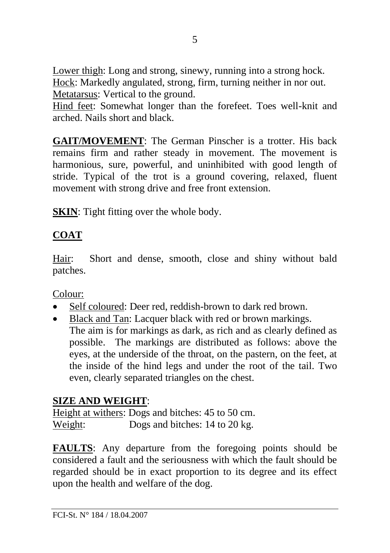Lower thigh: Long and strong, sinewy, running into a strong hock. Hock: Markedly angulated, strong, firm, turning neither in nor out. Metatarsus: Vertical to the ground.

Hind feet: Somewhat longer than the forefeet. Toes well-knit and arched. Nails short and black.

**GAIT/MOVEMENT**: The German Pinscher is a trotter. His back remains firm and rather steady in movement. The movement is harmonious, sure, powerful, and uninhibited with good length of stride. Typical of the trot is a ground covering, relaxed, fluent movement with strong drive and free front extension.

**SKIN**: Tight fitting over the whole body.

# **COAT**

Hair: Short and dense, smooth, close and shiny without bald patches.

Colour:

- Self coloured: Deer red, reddish-brown to dark red brown.
- Black and Tan: Lacquer black with red or brown markings. The aim is for markings as dark, as rich and as clearly defined as possible. The markings are distributed as follows: above the eyes, at the underside of the throat, on the pastern, on the feet, at the inside of the hind legs and under the root of the tail. Two even, clearly separated triangles on the chest.

## **SIZE AND WEIGHT**:

Height at withers: Dogs and bitches: 45 to 50 cm. Weight: Dogs and bitches: 14 to 20 kg.

**FAULTS**: Any departure from the foregoing points should be considered a fault and the seriousness with which the fault should be regarded should be in exact proportion to its degree and its effect upon the health and welfare of the dog.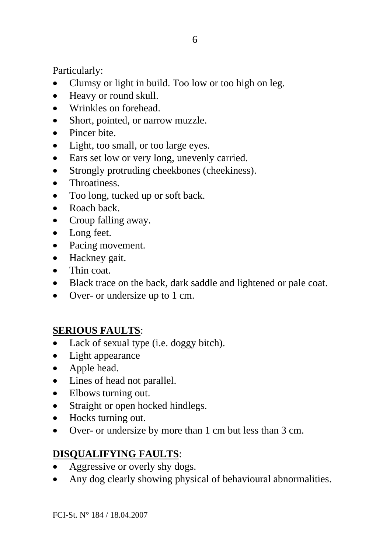Particularly:

- Clumsy or light in build. Too low or too high on leg.
- Heavy or round skull.
- Wrinkles on forehead.
- Short, pointed, or narrow muzzle.
- Pincer bite
- Light, too small, or too large eyes.
- Ears set low or very long, unevenly carried.
- Strongly protruding cheekbones (cheekiness).
- Throatiness.
- Too long, tucked up or soft back.
- Roach back
- Croup falling away.
- Long feet.
- Pacing movement.
- Hackney gait.
- Thin coat.
- Black trace on the back, dark saddle and lightened or pale coat.
- Over- or undersize up to 1 cm.

## **SERIOUS FAULTS**:

- Lack of sexual type (i.e. doggy bitch).
- Light appearance
- Apple head.
- Lines of head not parallel.
- Elbows turning out.
- Straight or open hocked hindlegs.
- Hocks turning out.
- Over- or undersize by more than 1 cm but less than 3 cm.

## **DISQUALIFYING FAULTS**:

- Aggressive or overly shy dogs.
- Any dog clearly showing physical of behavioural abnormalities.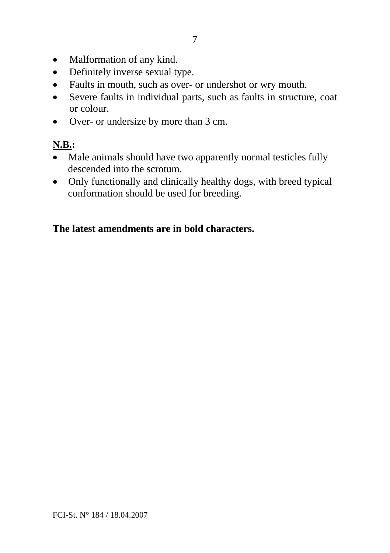- Malformation of any kind.
- Definitely inverse sexual type.
- Faults in mouth, such as over- or undershot or wry mouth.
- Severe faults in individual parts, such as faults in structure, coat or colour.
- Over- or undersize by more than 3 cm.

# **N.B.:**

- Male animals should have two apparently normal testicles fully descended into the scrotum.
- Only functionally and clinically healthy dogs, with breed typical conformation should be used for breeding.

#### **The latest amendments are in bold characters.**